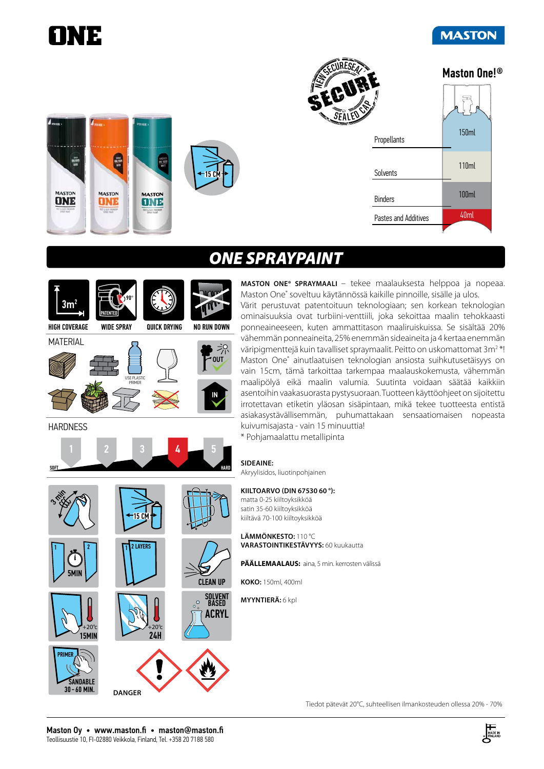

# *ONE SPRAYPAINT*



INIE

 $\frac{10}{100}$ 

**MASTON** 

**DNE** 

**MASTON** 

**ONE** 

**MASTON ONE® SPRAYMAALI** – tekee maalauksesta helppoa ja nopeaa. Maston One® soveltuu käytännössä kaikille pinnoille, sisälle ja ulos.

Värit perustuvat patentoituun teknologiaan; sen korkean teknologian ominaisuuksia ovat turbiini-venttiili, joka sekoittaa maalin tehokkaasti ponneaineeseen, kuten ammattitason maaliruiskuissa. Se sisältää 20% vähemmän ponneaineita, 25% enemmän sideaineita ja 4 kertaa enemmän väripigmenttejä kuin tavalliset spraymaalit. Peitto on uskomattomat 3m<sup>2</sup>\*! Maston One® ainutlaatuisen teknologian ansiosta suihkutusetäisyys on vain 15cm, tämä tarkoittaa tarkempaa maalauskokemusta, vähemmän maalipölyä eikä maalin valumia. Suutinta voidaan säätää kaikkiin asentoihin vaakasuorasta pystysuoraan. Tuotteen käyttöohjeet on sijoitettu irrotettavan etiketin yläosan sisäpintaan, mikä tekee tuotteesta entistä asiakasystävällisemmän, puhumattakaan sensaatiomaisen nopeasta kuivumisajasta - vain 15 minuuttia!

\* Pohjamaalattu metallipinta

#### **SIDEAINE:**

Akryylisidos, liuotinpohjainen

#### **KIILTOARVO (DIN 67530 60 °):**

matta 0-25 kiiltoyksikköä satin 35-60 kiiltoyksikköä kiiltävä 70-100 kiiltoyksikköä

**LÄMMÖNKESTO:** 110 °C **VARASTOINTIKESTÄVYYS:** 60 kuukautta

**PÄÄLLEMAALAUS:** aina, 5 min. kerrosten välissä

**KOKO:** 150ml, 400ml

**MYYNTIERÄ:** 6 kpl

#### Tiedot pätevät 20°C, suhteellisen ilmankosteuden ollessa 20% - 70%

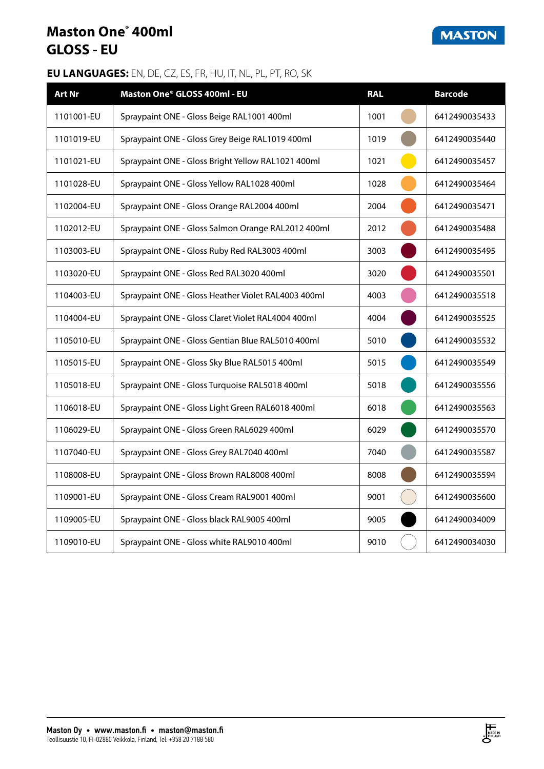## **Maston One® 400ml GLOSS - EU**

### **MASTON**

| <b>Art Nr</b> | Maston One® GLOSS 400ml - EU                        | <b>RAL</b> | <b>Barcode</b> |
|---------------|-----------------------------------------------------|------------|----------------|
| 1101001-EU    | Spraypaint ONE - Gloss Beige RAL1001 400ml          | 1001       | 6412490035433  |
| 1101019-EU    | Spraypaint ONE - Gloss Grey Beige RAL1019 400ml     | 1019       | 6412490035440  |
| 1101021-EU    | Spraypaint ONE - Gloss Bright Yellow RAL1021 400ml  | 1021       | 6412490035457  |
| 1101028-EU    | Spraypaint ONE - Gloss Yellow RAL1028 400ml         | 1028       | 6412490035464  |
| 1102004-EU    | Spraypaint ONE - Gloss Orange RAL2004 400ml         | 2004       | 6412490035471  |
| 1102012-EU    | Spraypaint ONE - Gloss Salmon Orange RAL2012 400ml  | 2012       | 6412490035488  |
| 1103003-EU    | Spraypaint ONE - Gloss Ruby Red RAL3003 400ml       | 3003       | 6412490035495  |
| 1103020-EU    | Spraypaint ONE - Gloss Red RAL3020 400ml            | 3020       | 6412490035501  |
| 1104003-EU    | Spraypaint ONE - Gloss Heather Violet RAL4003 400ml | 4003       | 6412490035518  |
| 1104004-EU    | Spraypaint ONE - Gloss Claret Violet RAL4004 400ml  | 4004       | 6412490035525  |
| 1105010-EU    | Spraypaint ONE - Gloss Gentian Blue RAL5010 400ml   | 5010       | 6412490035532  |
| 1105015-EU    | Spraypaint ONE - Gloss Sky Blue RAL5015 400ml       | 5015       | 6412490035549  |
| 1105018-EU    | Spraypaint ONE - Gloss Turquoise RAL5018 400ml      | 5018       | 6412490035556  |
| 1106018-EU    | Spraypaint ONE - Gloss Light Green RAL6018 400ml    | 6018       | 6412490035563  |
| 1106029-EU    | Spraypaint ONE - Gloss Green RAL6029 400ml          | 6029       | 6412490035570  |
| 1107040-EU    | Spraypaint ONE - Gloss Grey RAL7040 400ml           | 7040       | 6412490035587  |
| 1108008-EU    | Spraypaint ONE - Gloss Brown RAL8008 400ml          | 8008       | 6412490035594  |
| 1109001-EU    | Spraypaint ONE - Gloss Cream RAL9001 400ml          | 9001       | 6412490035600  |
| 1109005-EU    | Spraypaint ONE - Gloss black RAL9005 400ml          | 9005       | 6412490034009  |
| 1109010-EU    | Spraypaint ONE - Gloss white RAL9010 400ml          | 9010       | 6412490034030  |

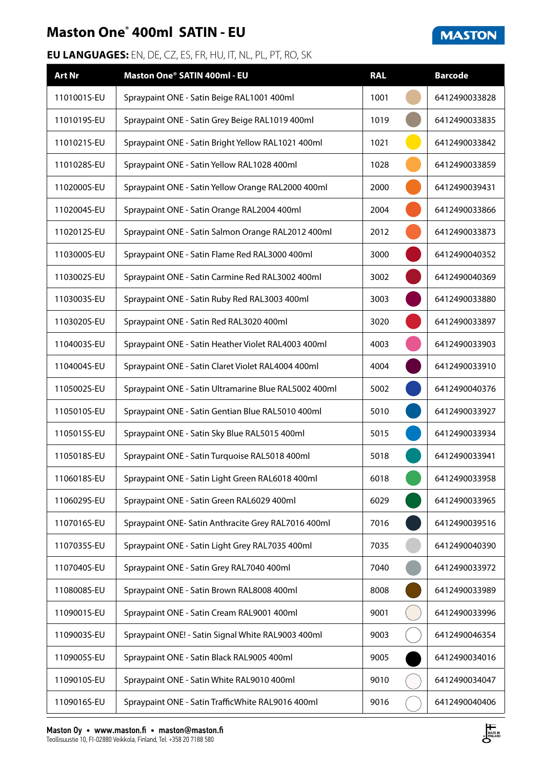# **Maston One® 400ml SATIN - EU**

| <b>Art Nr</b> | Maston One® SATIN 400ml - EU                          | <b>RAL</b> | <b>Barcode</b> |
|---------------|-------------------------------------------------------|------------|----------------|
| 1101001S-EU   | Spraypaint ONE - Satin Beige RAL1001 400ml            | 1001       | 6412490033828  |
| 1101019S-EU   | Spraypaint ONE - Satin Grey Beige RAL1019 400ml       | 1019       | 6412490033835  |
| 1101021S-EU   | Spraypaint ONE - Satin Bright Yellow RAL1021 400ml    | 1021       | 6412490033842  |
| 1101028S-EU   | Spraypaint ONE - Satin Yellow RAL1028 400ml           | 1028       | 6412490033859  |
| 1102000S-EU   | Spraypaint ONE - Satin Yellow Orange RAL2000 400ml    | 2000       | 6412490039431  |
| 1102004S-EU   | Spraypaint ONE - Satin Orange RAL2004 400ml           | 2004       | 6412490033866  |
| 1102012S-EU   | Spraypaint ONE - Satin Salmon Orange RAL2012 400ml    | 2012       | 6412490033873  |
| 1103000S-EU   | Spraypaint ONE - Satin Flame Red RAL3000 400ml        | 3000       | 6412490040352  |
| 1103002S-EU   | Spraypaint ONE - Satin Carmine Red RAL3002 400ml      | 3002       | 6412490040369  |
| 1103003S-EU   | Spraypaint ONE - Satin Ruby Red RAL3003 400ml         | 3003       | 6412490033880  |
| 1103020S-EU   | Spraypaint ONE - Satin Red RAL3020 400ml              | 3020       | 6412490033897  |
| 1104003S-EU   | Spraypaint ONE - Satin Heather Violet RAL4003 400ml   | 4003       | 6412490033903  |
| 1104004S-EU   | Spraypaint ONE - Satin Claret Violet RAL4004 400ml    | 4004       | 6412490033910  |
| 1105002S-EU   | Spraypaint ONE - Satin Ultramarine Blue RAL5002 400ml | 5002       | 6412490040376  |
| 1105010S-EU   | Spraypaint ONE - Satin Gentian Blue RAL5010 400ml     | 5010       | 6412490033927  |
| 1105015S-EU   | Spraypaint ONE - Satin Sky Blue RAL5015 400ml         | 5015       | 6412490033934  |
| 1105018S-EU   | Spraypaint ONE - Satin Turquoise RAL5018 400ml        | 5018       | 6412490033941  |
| 1106018S-EU   | Spraypaint ONE - Satin Light Green RAL6018 400ml      | 6018       | 6412490033958  |
| 1106029S-EU   | Spraypaint ONE - Satin Green RAL6029 400ml            | 6029       | 6412490033965  |
| 1107016S-EU   | Spraypaint ONE- Satin Anthracite Grey RAL7016 400ml   | 7016       | 6412490039516  |
| 1107035S-EU   | Spraypaint ONE - Satin Light Grey RAL7035 400ml       | 7035       | 6412490040390  |
| 1107040S-EU   | Spraypaint ONE - Satin Grey RAL7040 400ml             | 7040       | 6412490033972  |
| 1108008S-EU   | Spraypaint ONE - Satin Brown RAL8008 400ml            | 8008       | 6412490033989  |
| 1109001S-EU   | Spraypaint ONE - Satin Cream RAL9001 400ml            | 9001       | 6412490033996  |
| 1109003S-EU   | Spraypaint ONE! - Satin Signal White RAL9003 400ml    | 9003       | 6412490046354  |
| 1109005S-EU   | Spraypaint ONE - Satin Black RAL9005 400ml            | 9005       | 6412490034016  |
| 1109010S-EU   | Spraypaint ONE - Satin White RAL9010 400ml            | 9010       | 6412490034047  |
| 1109016S-EU   | Spraypaint ONE - Satin TrafficWhite RAL9016 400ml     | 9016       | 6412490040406  |



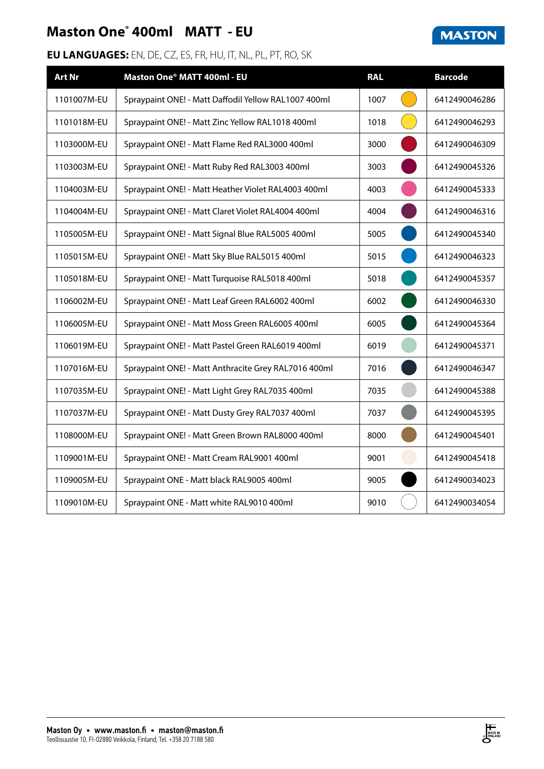# **Maston One® 400ml MATT - EU**

| <b>Art Nr</b> | Maston One® MATT 400ml - EU                          | <b>RAL</b> | <b>Barcode</b> |
|---------------|------------------------------------------------------|------------|----------------|
| 1101007M-EU   | Spraypaint ONE! - Matt Daffodil Yellow RAL1007 400ml | 1007       | 6412490046286  |
| 1101018M-EU   | Spraypaint ONE! - Matt Zinc Yellow RAL1018 400ml     | 1018       | 6412490046293  |
| 1103000M-EU   | Spraypaint ONE! - Matt Flame Red RAL3000 400ml       | 3000       | 6412490046309  |
| 1103003M-EU   | Spraypaint ONE! - Matt Ruby Red RAL3003 400ml        | 3003       | 6412490045326  |
| 1104003M-EU   | Spraypaint ONE! - Matt Heather Violet RAL4003 400ml  | 4003       | 6412490045333  |
| 1104004M-EU   | Spraypaint ONE! - Matt Claret Violet RAL4004 400ml   | 4004       | 6412490046316  |
| 1105005M-EU   | Spraypaint ONE! - Matt Signal Blue RAL5005 400ml     | 5005       | 6412490045340  |
| 1105015M-EU   | Spraypaint ONE! - Matt Sky Blue RAL5015 400ml        | 5015       | 6412490046323  |
| 1105018M-EU   | Spraypaint ONE! - Matt Turquoise RAL5018 400ml       | 5018       | 6412490045357  |
| 1106002M-EU   | Spraypaint ONE! - Matt Leaf Green RAL6002 400ml      | 6002       | 6412490046330  |
| 1106005M-EU   | Spraypaint ONE! - Matt Moss Green RAL6005 400ml      | 6005       | 6412490045364  |
| 1106019M-EU   | Spraypaint ONE! - Matt Pastel Green RAL6019 400ml    | 6019       | 6412490045371  |
| 1107016M-EU   | Spraypaint ONE! - Matt Anthracite Grey RAL7016 400ml | 7016       | 6412490046347  |
| 1107035M-EU   | Spraypaint ONE! - Matt Light Grey RAL7035 400ml      | 7035       | 6412490045388  |
| 1107037M-EU   | Spraypaint ONE! - Matt Dusty Grey RAL7037 400ml      | 7037       | 6412490045395  |
| 1108000M-EU   | Spraypaint ONE! - Matt Green Brown RAL8000 400ml     | 8000       | 6412490045401  |
| 1109001M-EU   | Spraypaint ONE! - Matt Cream RAL9001 400ml           | 9001       | 6412490045418  |
| 1109005M-EU   | Spraypaint ONE - Matt black RAL9005 400ml            | 9005       | 6412490034023  |
| 1109010M-EU   | Spraypaint ONE - Matt white RAL9010 400ml            | 9010       | 6412490034054  |



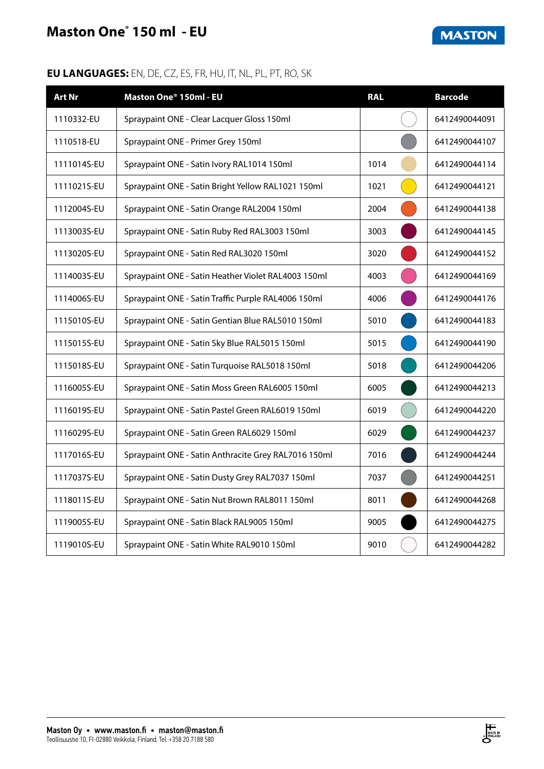## **Maston One® 150 ml - EU**

**MASTON** 

| <b>Art Nr</b> | Maston One <sup>®</sup> 150ml - EU                   | <b>RAL</b> | <b>Barcode</b> |
|---------------|------------------------------------------------------|------------|----------------|
| 1110332-EU    | Spraypaint ONE - Clear Lacquer Gloss 150ml           |            | 6412490044091  |
| 1110518-EU    | Spraypaint ONE - Primer Grey 150ml                   |            | 6412490044107  |
| 1111014S-EU   | Spraypaint ONE - Satin Ivory RAL1014 150ml           | 1014       | 6412490044114  |
| 1111021S-EU   | Spraypaint ONE - Satin Bright Yellow RAL1021 150ml   | 1021       | 6412490044121  |
| 1112004S-EU   | Spraypaint ONE - Satin Orange RAL2004 150ml          | 2004       | 6412490044138  |
| 1113003S-EU   | Spraypaint ONE - Satin Ruby Red RAL3003 150ml        | 3003       | 6412490044145  |
| 1113020S-EU   | Spraypaint ONE - Satin Red RAL3020 150ml             | 3020       | 6412490044152  |
| 1114003S-EU   | Spraypaint ONE - Satin Heather Violet RAL4003 150ml  | 4003       | 6412490044169  |
| 1114006S-EU   | Spraypaint ONE - Satin Traffic Purple RAL4006 150ml  | 4006       | 6412490044176  |
| 1115010S-EU   | Spraypaint ONE - Satin Gentian Blue RAL5010 150ml    | 5010       | 6412490044183  |
| 1115015S-EU   | Spraypaint ONE - Satin Sky Blue RAL5015 150ml        | 5015       | 6412490044190  |
| 1115018S-EU   | Spraypaint ONE - Satin Turquoise RAL5018 150ml       | 5018       | 6412490044206  |
| 1116005S-EU   | Spraypaint ONE - Satin Moss Green RAL6005 150ml      | 6005       | 6412490044213  |
| 1116019S-EU   | Spraypaint ONE - Satin Pastel Green RAL6019 150ml    | 6019       | 6412490044220  |
| 1116029S-EU   | Spraypaint ONE - Satin Green RAL6029 150ml           | 6029       | 6412490044237  |
| 1117016S-EU   | Spraypaint ONE - Satin Anthracite Grey RAL7016 150ml | 7016       | 6412490044244  |
| 1117037S-EU   | Spraypaint ONE - Satin Dusty Grey RAL7037 150ml      | 7037       | 6412490044251  |
| 1118011S-EU   | Spraypaint ONE - Satin Nut Brown RAL8011 150ml       | 8011       | 6412490044268  |
| 1119005S-EU   | Spraypaint ONE - Satin Black RAL9005 150ml           | 9005       | 6412490044275  |
| 1119010S-EU   | Spraypaint ONE - Satin White RAL9010 150ml           | 9010       | 6412490044282  |

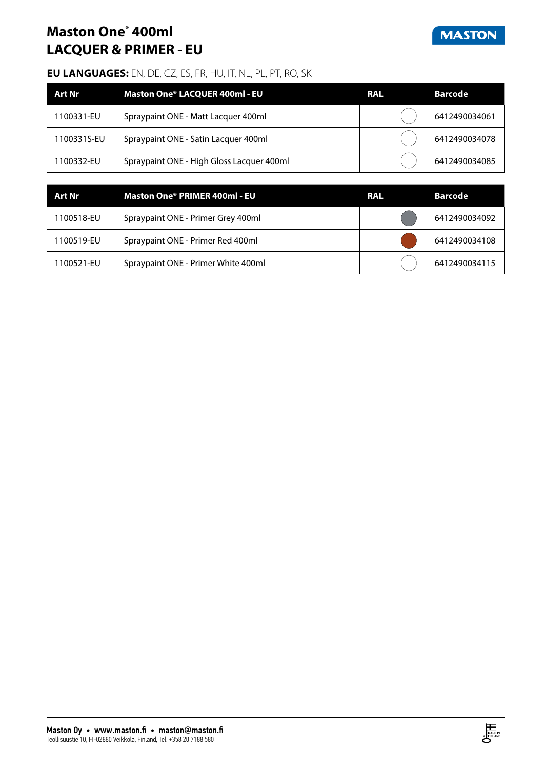## **Maston One® 400ml LACQUER & PRIMER - EU**



| Art Nr      | Maston One® LACQUER 400ml - EU            | <b>RAL</b> | <b>Barcode</b> |
|-------------|-------------------------------------------|------------|----------------|
| 1100331-EU  | Spraypaint ONE - Matt Lacquer 400ml       |            | 6412490034061  |
| 1100331S-EU | Spraypaint ONE - Satin Lacquer 400ml      |            | 6412490034078  |
| 1100332-EU  | Spraypaint ONE - High Gloss Lacquer 400ml |            | 6412490034085  |

| Art Nr     | Maston One® PRIMER 400ml - EU       | <b>RAL</b> | Barcode       |
|------------|-------------------------------------|------------|---------------|
| 1100518-EU | Spraypaint ONE - Primer Grey 400ml  |            | 6412490034092 |
| 1100519-EU | Spraypaint ONE - Primer Red 400ml   |            | 6412490034108 |
| 1100521-EU | Spraypaint ONE - Primer White 400ml |            | 6412490034115 |

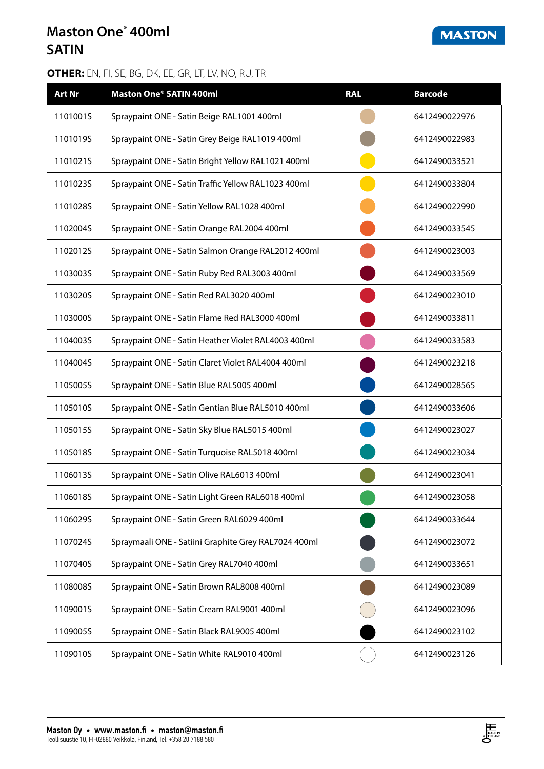## **Maston One® 400ml SATIN**

### **OTHER:** EN, FI, SE, BG, DK, EE, GR, LT, LV, NO, RU, TR

| <b>Art Nr</b> | <b>Maston One® SATIN 400ml</b>                       | <b>RAL</b> | <b>Barcode</b> |
|---------------|------------------------------------------------------|------------|----------------|
| 1101001S      | Spraypaint ONE - Satin Beige RAL1001 400ml           |            | 6412490022976  |
| 1101019S      | Spraypaint ONE - Satin Grey Beige RAL1019 400ml      |            | 6412490022983  |
| 1101021S      | Spraypaint ONE - Satin Bright Yellow RAL1021 400ml   |            | 6412490033521  |
| 1101023S      | Spraypaint ONE - Satin Traffic Yellow RAL1023 400ml  |            | 6412490033804  |
| 1101028S      | Spraypaint ONE - Satin Yellow RAL1028 400ml          |            | 6412490022990  |
| 1102004S      | Spraypaint ONE - Satin Orange RAL2004 400ml          |            | 6412490033545  |
| 1102012S      | Spraypaint ONE - Satin Salmon Orange RAL2012 400ml   |            | 6412490023003  |
| 1103003S      | Spraypaint ONE - Satin Ruby Red RAL3003 400ml        |            | 6412490033569  |
| 1103020S      | Spraypaint ONE - Satin Red RAL3020 400ml             |            | 6412490023010  |
| 1103000S      | Spraypaint ONE - Satin Flame Red RAL3000 400ml       |            | 6412490033811  |
| 1104003S      | Spraypaint ONE - Satin Heather Violet RAL4003 400ml  |            | 6412490033583  |
| 1104004S      | Spraypaint ONE - Satin Claret Violet RAL4004 400ml   |            | 6412490023218  |
| 1105005S      | Spraypaint ONE - Satin Blue RAL5005 400ml            |            | 6412490028565  |
| 1105010S      | Spraypaint ONE - Satin Gentian Blue RAL5010 400ml    |            | 6412490033606  |
| 1105015S      | Spraypaint ONE - Satin Sky Blue RAL5015 400ml        |            | 6412490023027  |
| 1105018S      | Spraypaint ONE - Satin Turquoise RAL5018 400ml       |            | 6412490023034  |
| 1106013S      | Spraypaint ONE - Satin Olive RAL6013 400ml           |            | 6412490023041  |
| 1106018S      | Spraypaint ONE - Satin Light Green RAL6018 400ml     |            | 6412490023058  |
| 1106029S      | Spraypaint ONE - Satin Green RAL6029 400ml           |            | 6412490033644  |
| 1107024S      | Spraymaali ONE - Satiini Graphite Grey RAL7024 400ml |            | 6412490023072  |
| 1107040S      | Spraypaint ONE - Satin Grey RAL7040 400ml            |            | 6412490033651  |
| 1108008S      | Spraypaint ONE - Satin Brown RAL8008 400ml           |            | 6412490023089  |
| 1109001S      | Spraypaint ONE - Satin Cream RAL9001 400ml           |            | 6412490023096  |
| 1109005S      | Spraypaint ONE - Satin Black RAL9005 400ml           |            | 6412490023102  |
| 1109010S      | Spraypaint ONE - Satin White RAL9010 400ml           |            | 6412490023126  |



**MASTON**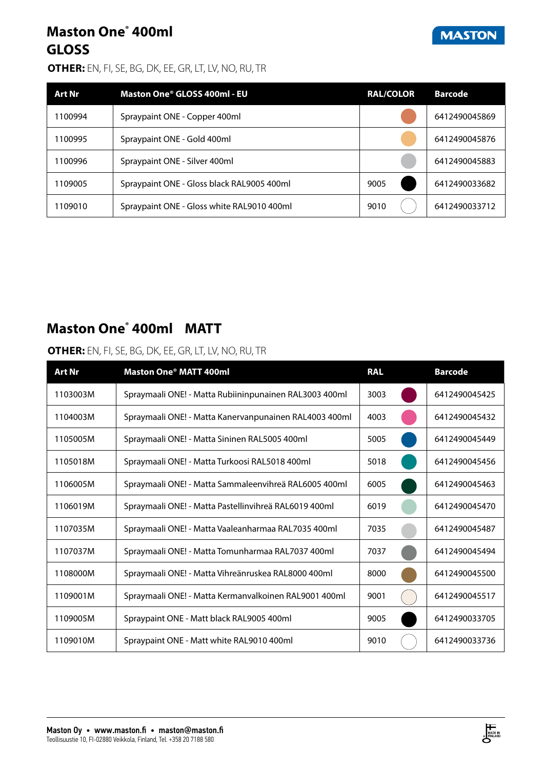## **Maston One® 400ml GLOSS**

### **OTHER:** EN, FI, SE, BG, DK, EE, GR, LT, LV, NO, RU, TR

| <b>Art Nr</b> | Maston One® GLOSS 400ml - EU               | <b>RAL/COLOR</b> | <b>Barcode</b> |
|---------------|--------------------------------------------|------------------|----------------|
| 1100994       | Spraypaint ONE - Copper 400ml              |                  | 6412490045869  |
| 1100995       | Spraypaint ONE - Gold 400ml                |                  | 6412490045876  |
| 1100996       | Spraypaint ONE - Silver 400ml              |                  | 6412490045883  |
| 1109005       | Spraypaint ONE - Gloss black RAL9005 400ml | 9005             | 6412490033682  |
| 1109010       | Spraypaint ONE - Gloss white RAL9010 400ml | 9010             | 6412490033712  |

## **Maston One® 400ml MATT**

### **OTHER:** EN, FI, SE, BG, DK, EE, GR, LT, LV, NO, RU, TR

| <b>Art Nr</b> | Maston One® MATT 400ml                                 | <b>RAL</b> | <b>Barcode</b> |
|---------------|--------------------------------------------------------|------------|----------------|
| 1103003M      | Spraymaali ONE! - Matta Rubiininpunainen RAL3003 400ml | 3003       | 6412490045425  |
| 1104003M      | Spraymaali ONE! - Matta Kanervanpunainen RAL4003 400ml | 4003       | 6412490045432  |
| 1105005M      | Spraymaali ONE! - Matta Sininen RAL5005 400ml          | 5005       | 6412490045449  |
| 1105018M      | Spraymaali ONE! - Matta Turkoosi RAL5018 400ml         | 5018       | 6412490045456  |
| 1106005M      | Spraymaali ONE! - Matta Sammaleenvihreä RAL6005 400ml  | 6005       | 6412490045463  |
| 1106019M      | Spraymaali ONE! - Matta Pastellinvihreä RAL6019 400ml  | 6019       | 6412490045470  |
| 1107035M      | Spraymaali ONE! - Matta Vaaleanharmaa RAL7035 400ml    | 7035       | 6412490045487  |
| 1107037M      | Spraymaali ONE! - Matta Tomunharmaa RAL7037 400ml      | 7037       | 6412490045494  |
| 1108000M      | Spraymaali ONE! - Matta Vihreänruskea RAL8000 400ml    | 8000       | 6412490045500  |
| 1109001M      | Spraymaali ONE! - Matta Kermanvalkoinen RAL9001 400ml  | 9001       | 6412490045517  |
| 1109005M      | Spraypaint ONE - Matt black RAL9005 400ml              | 9005       | 6412490033705  |
| 1109010M      | Spraypaint ONE - Matt white RAL9010 400ml              | 9010       | 6412490033736  |